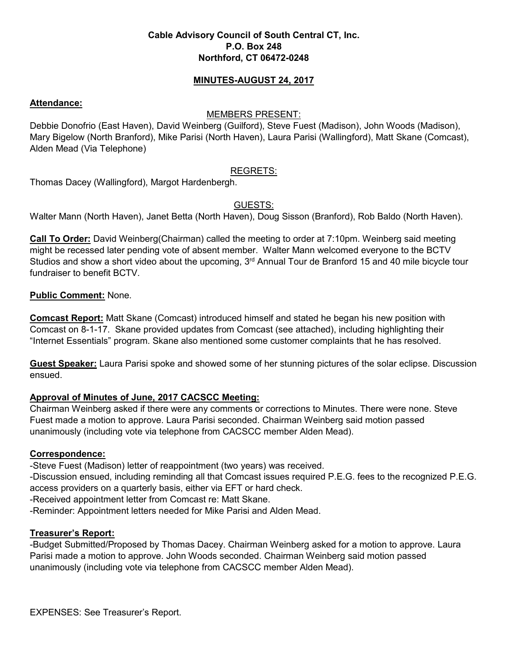## **Cable Advisory Council of South Central CT, Inc. P.O. Box 248 Northford, CT 06472-0248**

## **MINUTES-AUGUST 24, 2017**

### **Attendance:**

#### MEMBERS PRESENT:

Debbie Donofrio (East Haven), David Weinberg (Guilford), Steve Fuest (Madison), John Woods (Madison), Mary Bigelow (North Branford), Mike Parisi (North Haven), Laura Parisi (Wallingford), Matt Skane (Comcast), Alden Mead (Via Telephone)

## REGRETS:

Thomas Dacey (Wallingford), Margot Hardenbergh.

# GUESTS:

Walter Mann (North Haven), Janet Betta (North Haven), Doug Sisson (Branford), Rob Baldo (North Haven).

**Call To Order:** David Weinberg(Chairman) called the meeting to order at 7:10pm. Weinberg said meeting might be recessed later pending vote of absent member. Walter Mann welcomed everyone to the BCTV Studios and show a short video about the upcoming, 3<sup>rd</sup> Annual Tour de Branford 15 and 40 mile bicycle tour fundraiser to benefit BCTV.

## **Public Comment:** None.

**Comcast Report:** Matt Skane (Comcast) introduced himself and stated he began his new position with Comcast on 8-1-17. Skane provided updates from Comcast (see attached), including highlighting their "Internet Essentials" program. Skane also mentioned some customer complaints that he has resolved.

**Guest Speaker:** Laura Parisi spoke and showed some of her stunning pictures of the solar eclipse. Discussion ensued.

# **Approval of Minutes of June, 2017 CACSCC Meeting:**

Chairman Weinberg asked if there were any comments or corrections to Minutes. There were none. Steve Fuest made a motion to approve. Laura Parisi seconded. Chairman Weinberg said motion passed unanimously (including vote via telephone from CACSCC member Alden Mead).

### **Correspondence:**

-Steve Fuest (Madison) letter of reappointment (two years) was received.

-Discussion ensued, including reminding all that Comcast issues required P.E.G. fees to the recognized P.E.G. access providers on a quarterly basis, either via EFT or hard check.

-Received appointment letter from Comcast re: Matt Skane.

-Reminder: Appointment letters needed for Mike Parisi and Alden Mead.

# **Treasurer's Report:**

-Budget Submitted/Proposed by Thomas Dacey. Chairman Weinberg asked for a motion to approve. Laura Parisi made a motion to approve. John Woods seconded. Chairman Weinberg said motion passed unanimously (including vote via telephone from CACSCC member Alden Mead).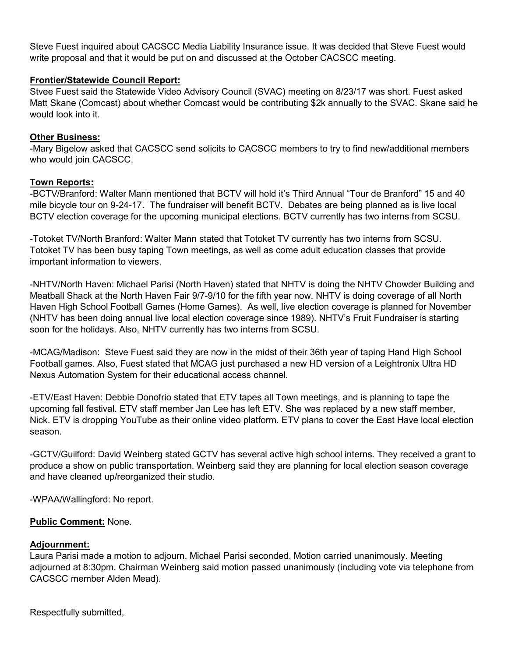Steve Fuest inquired about CACSCC Media Liability Insurance issue. It was decided that Steve Fuest would write proposal and that it would be put on and discussed at the October CACSCC meeting.

## **Frontier/Statewide Council Report:**

Stvee Fuest said the Statewide Video Advisory Council (SVAC) meeting on 8/23/17 was short. Fuest asked Matt Skane (Comcast) about whether Comcast would be contributing \$2k annually to the SVAC. Skane said he would look into it.

### **Other Business:**

-Mary Bigelow asked that CACSCC send solicits to CACSCC members to try to find new/additional members who would join CACSCC.

## **Town Reports:**

-BCTV/Branford: Walter Mann mentioned that BCTV will hold it's Third Annual "Tour de Branford" 15 and 40 mile bicycle tour on 9-24-17. The fundraiser will benefit BCTV. Debates are being planned as is live local BCTV election coverage for the upcoming municipal elections. BCTV currently has two interns from SCSU.

-Totoket TV/North Branford: Walter Mann stated that Totoket TV currently has two interns from SCSU. Totoket TV has been busy taping Town meetings, as well as come adult education classes that provide important information to viewers.

-NHTV/North Haven: Michael Parisi (North Haven) stated that NHTV is doing the NHTV Chowder Building and Meatball Shack at the North Haven Fair 9/7-9/10 for the fifth year now. NHTV is doing coverage of all North Haven High School Football Games (Home Games). As well, live election coverage is planned for November (NHTV has been doing annual live local election coverage since 1989). NHTV's Fruit Fundraiser is starting soon for the holidays. Also, NHTV currently has two interns from SCSU.

-MCAG/Madison: Steve Fuest said they are now in the midst of their 36th year of taping Hand High School Football games. Also, Fuest stated that MCAG just purchased a new HD version of a Leightronix Ultra HD Nexus Automation System for their educational access channel.

-ETV/East Haven: Debbie Donofrio stated that ETV tapes all Town meetings, and is planning to tape the upcoming fall festival. ETV staff member Jan Lee has left ETV. She was replaced by a new staff member, Nick. ETV is dropping YouTube as their online video platform. ETV plans to cover the East Have local election season.

-GCTV/Guilford: David Weinberg stated GCTV has several active high school interns. They received a grant to produce a show on public transportation. Weinberg said they are planning for local election season coverage and have cleaned up/reorganized their studio.

-WPAA/Wallingford: No report.

# **Public Comment:** None.

### **Adjournment:**

Laura Parisi made a motion to adjourn. Michael Parisi seconded. Motion carried unanimously. Meeting adjourned at 8:30pm. Chairman Weinberg said motion passed unanimously (including vote via telephone from CACSCC member Alden Mead).

Respectfully submitted,